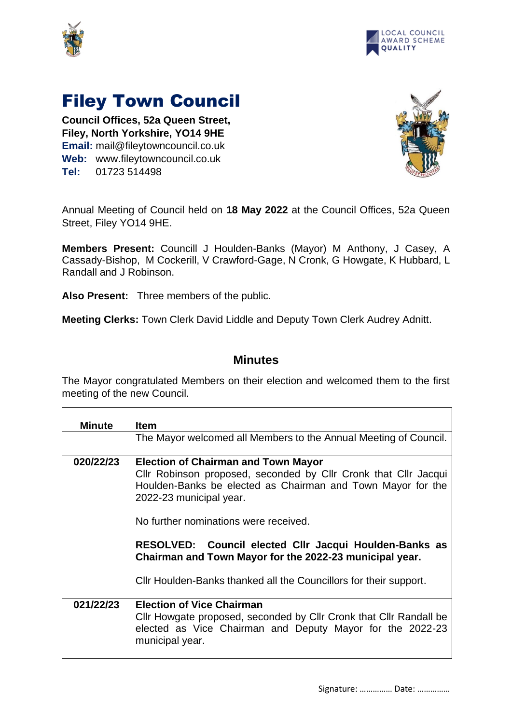



## Filey Town Council

**Council Offices, 52a Queen Street, Filey, North Yorkshire, YO14 9HE Email:** mail@fileytowncouncil.co.uk **Web:** www.fileytowncouncil.co.uk **Tel:** 01723 514498



Annual Meeting of Council held on **18 May 2022** at the Council Offices, 52a Queen Street, Filey YO14 9HE.

**Members Present:** Councill J Houlden-Banks (Mayor) M Anthony, J Casey, A Cassady-Bishop, M Cockerill, V Crawford-Gage, N Cronk, G Howgate, K Hubbard, L Randall and J Robinson.

**Also Present:** Three members of the public.

**Meeting Clerks:** Town Clerk David Liddle and Deputy Town Clerk Audrey Adnitt.

## **Minutes**

The Mayor congratulated Members on their election and welcomed them to the first meeting of the new Council.

| <b>Minute</b> | <b>Item</b>                                                                                                                                                                                                                                      |
|---------------|--------------------------------------------------------------------------------------------------------------------------------------------------------------------------------------------------------------------------------------------------|
|               | The Mayor welcomed all Members to the Annual Meeting of Council.                                                                                                                                                                                 |
| 020/22/23     | <b>Election of Chairman and Town Mayor</b><br>Cllr Robinson proposed, seconded by Cllr Cronk that Cllr Jacqui<br>Houlden-Banks be elected as Chairman and Town Mayor for the<br>2022-23 municipal year.<br>No further nominations were received. |
|               | RESOLVED: Council elected Cllr Jacqui Houlden-Banks as<br>Chairman and Town Mayor for the 2022-23 municipal year.<br>Cllr Houlden-Banks thanked all the Councillors for their support.                                                           |
| 021/22/23     | <b>Election of Vice Chairman</b><br>Cllr Howgate proposed, seconded by Cllr Cronk that Cllr Randall be<br>elected as Vice Chairman and Deputy Mayor for the 2022-23                                                                              |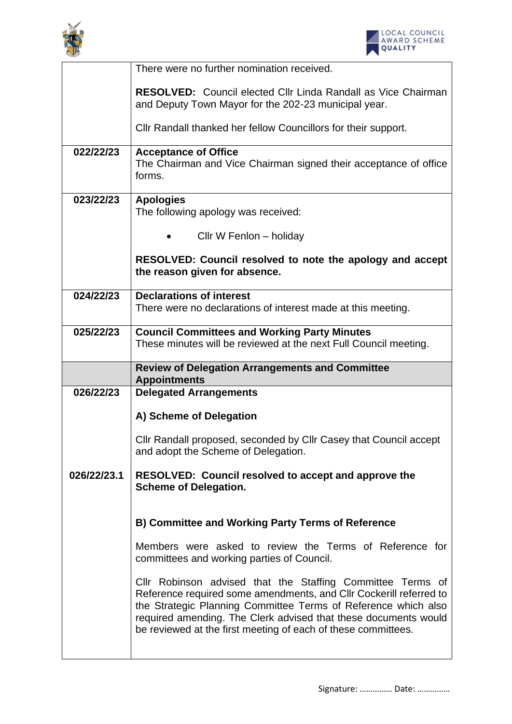



|             | There were no further nomination received.                                                                                   |
|-------------|------------------------------------------------------------------------------------------------------------------------------|
|             | <b>RESOLVED:</b> Council elected Cllr Linda Randall as Vice Chairman<br>and Deputy Town Mayor for the 202-23 municipal year. |
|             | Cllr Randall thanked her fellow Councillors for their support.                                                               |
| 022/22/23   | <b>Acceptance of Office</b><br>The Chairman and Vice Chairman signed their acceptance of office<br>forms.                    |
| 023/22/23   | <b>Apologies</b><br>The following apology was received:                                                                      |
|             | Cllr W Fenlon - holiday                                                                                                      |
|             | RESOLVED: Council resolved to note the apology and accept<br>the reason given for absence.                                   |
| 024/22/23   | <b>Declarations of interest</b><br>There were no declarations of interest made at this meeting.                              |
| 025/22/23   | <b>Council Committees and Working Party Minutes</b>                                                                          |
|             | These minutes will be reviewed at the next Full Council meeting.                                                             |
|             |                                                                                                                              |
|             | <b>Review of Delegation Arrangements and Committee</b><br><b>Appointments</b>                                                |
| 026/22/23   | <b>Delegated Arrangements</b>                                                                                                |
|             | A) Scheme of Delegation                                                                                                      |
|             | Cllr Randall proposed, seconded by Cllr Casey that Council accept<br>and adopt the Scheme of Delegation.                     |
| 026/22/23.1 | RESOLVED: Council resolved to accept and approve the<br><b>Scheme of Delegation.</b>                                         |
|             | <b>B) Committee and Working Party Terms of Reference</b>                                                                     |
|             | Members were asked to review the Terms of Reference for<br>committees and working parties of Council.                        |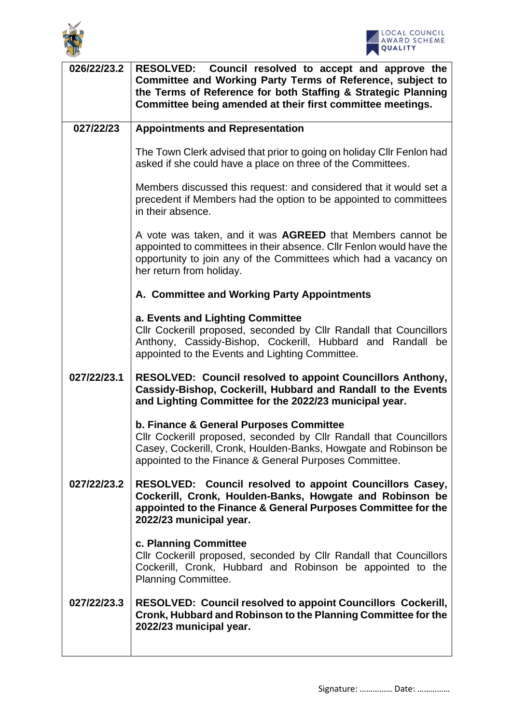



| 026/22/23.2 | RESOLVED: Council resolved to accept and approve the<br>Committee and Working Party Terms of Reference, subject to<br>the Terms of Reference for both Staffing & Strategic Planning<br>Committee being amended at their first committee meetings. |
|-------------|---------------------------------------------------------------------------------------------------------------------------------------------------------------------------------------------------------------------------------------------------|
| 027/22/23   | <b>Appointments and Representation</b>                                                                                                                                                                                                            |
|             | The Town Clerk advised that prior to going on holiday Cllr Fenlon had<br>asked if she could have a place on three of the Committees.                                                                                                              |
|             | Members discussed this request: and considered that it would set a<br>precedent if Members had the option to be appointed to committees<br>in their absence.                                                                                      |
|             | A vote was taken, and it was <b>AGREED</b> that Members cannot be<br>appointed to committees in their absence. Cllr Fenlon would have the<br>opportunity to join any of the Committees which had a vacancy on<br>her return from holiday.         |
|             | A. Committee and Working Party Appointments                                                                                                                                                                                                       |
|             | a. Events and Lighting Committee<br>Cllr Cockerill proposed, seconded by Cllr Randall that Councillors<br>Anthony, Cassidy-Bishop, Cockerill, Hubbard and Randall be<br>appointed to the Events and Lighting Committee.                           |
| 027/22/23.1 | <b>RESOLVED: Council resolved to appoint Councillors Anthony,</b><br>Cassidy-Bishop, Cockerill, Hubbard and Randall to the Events<br>and Lighting Committee for the 2022/23 municipal year.                                                       |
|             | b. Finance & General Purposes Committee<br>Cllr Cockerill proposed, seconded by Cllr Randall that Councillors<br>Casey, Cockerill, Cronk, Houlden-Banks, Howgate and Robinson be<br>appointed to the Finance & General Purposes Committee.        |
| 027/22/23.2 | RESOLVED: Council resolved to appoint Councillors Casey,<br>Cockerill, Cronk, Houlden-Banks, Howgate and Robinson be<br>appointed to the Finance & General Purposes Committee for the<br>2022/23 municipal year.                                  |
|             | c. Planning Committee<br>Cllr Cockerill proposed, seconded by Cllr Randall that Councillors<br>Cockerill, Cronk, Hubbard and Robinson be appointed to the<br><b>Planning Committee.</b>                                                           |
| 027/22/23.3 | <b>RESOLVED: Council resolved to appoint Councillors Cockerill,</b><br>Cronk, Hubbard and Robinson to the Planning Committee for the<br>2022/23 municipal year.                                                                                   |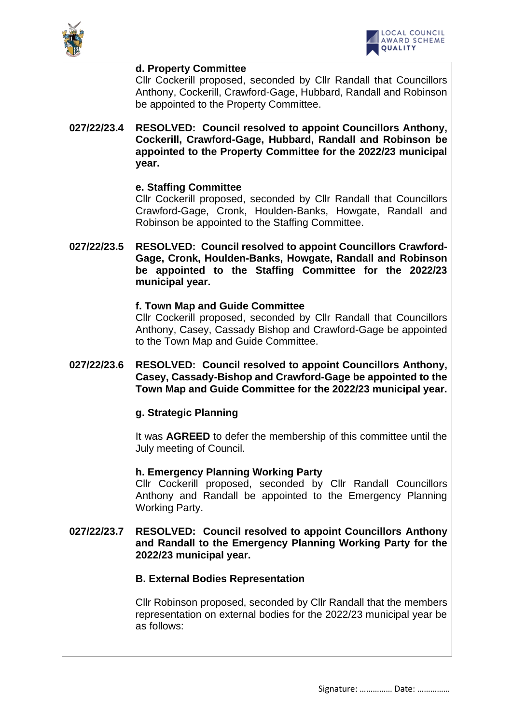



|             | d. Property Committee<br>Cllr Cockerill proposed, seconded by Cllr Randall that Councillors<br>Anthony, Cockerill, Crawford-Gage, Hubbard, Randall and Robinson<br>be appointed to the Property Committee.     |
|-------------|----------------------------------------------------------------------------------------------------------------------------------------------------------------------------------------------------------------|
| 027/22/23.4 | <b>RESOLVED: Council resolved to appoint Councillors Anthony,</b><br>Cockerill, Crawford-Gage, Hubbard, Randall and Robinson be<br>appointed to the Property Committee for the 2022/23 municipal<br>year.      |
|             | e. Staffing Committee<br>Cllr Cockerill proposed, seconded by Cllr Randall that Councillors<br>Crawford-Gage, Cronk, Houlden-Banks, Howgate, Randall and<br>Robinson be appointed to the Staffing Committee.   |
| 027/22/23.5 | <b>RESOLVED: Council resolved to appoint Councillors Crawford-</b><br>Gage, Cronk, Houlden-Banks, Howgate, Randall and Robinson<br>be appointed to the Staffing Committee for the 2022/23<br>municipal year.   |
|             | f. Town Map and Guide Committee<br>Cllr Cockerill proposed, seconded by Cllr Randall that Councillors<br>Anthony, Casey, Cassady Bishop and Crawford-Gage be appointed<br>to the Town Map and Guide Committee. |
| 027/22/23.6 | <b>RESOLVED: Council resolved to appoint Councillors Anthony,</b><br>Casey, Cassady-Bishop and Crawford-Gage be appointed to the<br>Town Map and Guide Committee for the 2022/23 municipal year.               |
|             | g. Strategic Planning                                                                                                                                                                                          |
|             | It was AGREED to defer the membership of this committee until the<br>July meeting of Council.                                                                                                                  |
|             | h. Emergency Planning Working Party<br>Cllr Cockerill proposed, seconded by Cllr Randall Councillors<br>Anthony and Randall be appointed to the Emergency Planning<br><b>Working Party.</b>                    |
| 027/22/23.7 | <b>RESOLVED: Council resolved to appoint Councillors Anthony</b><br>and Randall to the Emergency Planning Working Party for the<br>2022/23 municipal year.                                                     |
|             | <b>B. External Bodies Representation</b>                                                                                                                                                                       |
|             | Cllr Robinson proposed, seconded by Cllr Randall that the members<br>representation on external bodies for the 2022/23 municipal year be<br>as follows:                                                        |
|             |                                                                                                                                                                                                                |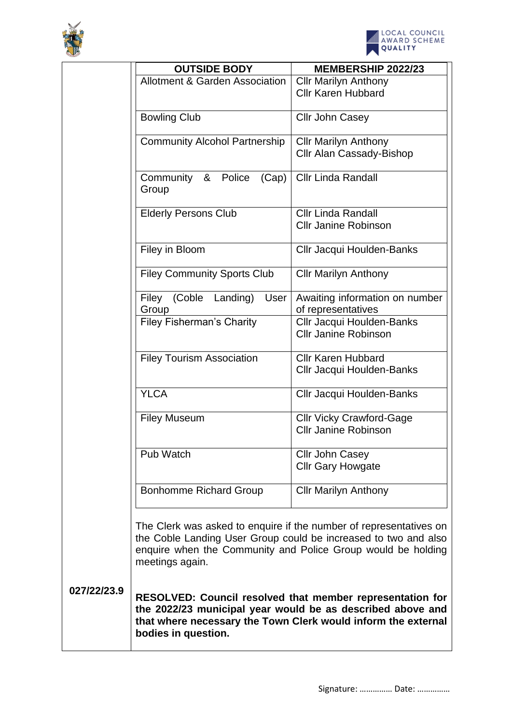



|             | <b>OUTSIDE BODY</b>                       | <b>MEMBERSHIP 2022/23</b>                                                                                                                                                                             |
|-------------|-------------------------------------------|-------------------------------------------------------------------------------------------------------------------------------------------------------------------------------------------------------|
|             | <b>Allotment &amp; Garden Association</b> | <b>Cllr Marilyn Anthony</b>                                                                                                                                                                           |
|             |                                           | <b>Cllr Karen Hubbard</b>                                                                                                                                                                             |
|             |                                           |                                                                                                                                                                                                       |
|             | <b>Bowling Club</b>                       | <b>Cllr John Casey</b>                                                                                                                                                                                |
|             |                                           |                                                                                                                                                                                                       |
|             | <b>Community Alcohol Partnership</b>      | <b>Cllr Marilyn Anthony</b><br><b>Cllr Alan Cassady-Bishop</b>                                                                                                                                        |
|             |                                           |                                                                                                                                                                                                       |
|             | Community & Police<br>(Cap)<br>Group      | <b>Cllr Linda Randall</b>                                                                                                                                                                             |
|             | <b>Elderly Persons Club</b>               | <b>Cllr Linda Randall</b>                                                                                                                                                                             |
|             |                                           | <b>Cllr Janine Robinson</b>                                                                                                                                                                           |
|             |                                           |                                                                                                                                                                                                       |
|             | Filey in Bloom                            | Cllr Jacqui Houlden-Banks                                                                                                                                                                             |
|             | <b>Filey Community Sports Club</b>        | <b>Cllr Marilyn Anthony</b>                                                                                                                                                                           |
|             | Filey (Coble Landing)<br>User<br>Group    | Awaiting information on number<br>of representatives                                                                                                                                                  |
|             | <b>Filey Fisherman's Charity</b>          | Cllr Jacqui Houlden-Banks<br><b>Cllr Janine Robinson</b>                                                                                                                                              |
|             |                                           |                                                                                                                                                                                                       |
|             | <b>Filey Tourism Association</b>          | <b>Cllr Karen Hubbard</b>                                                                                                                                                                             |
|             |                                           | Cllr Jacqui Houlden-Banks                                                                                                                                                                             |
|             | <b>YLCA</b>                               | <b>Cllr Jacqui Houlden-Banks</b>                                                                                                                                                                      |
|             | <b>Filey Museum</b>                       | <b>Cllr Vicky Crawford-Gage</b>                                                                                                                                                                       |
|             |                                           | <b>Cllr Janine Robinson</b>                                                                                                                                                                           |
|             | Pub Watch                                 | Cllr John Casey                                                                                                                                                                                       |
|             |                                           | <b>Cllr Gary Howgate</b>                                                                                                                                                                              |
|             | <b>Bonhomme Richard Group</b>             | <b>Cllr Marilyn Anthony</b>                                                                                                                                                                           |
|             | meetings again.                           | The Clerk was asked to enquire if the number of representatives on<br>the Coble Landing User Group could be increased to two and also<br>enquire when the Community and Police Group would be holding |
| 027/22/23.9 |                                           | <b>RESOLVED: Council resolved that member representation for</b><br>the 2022/23 municipal year would be as described above and<br>that where necessary the Town Clerk would inform the external       |

**bodies in question.**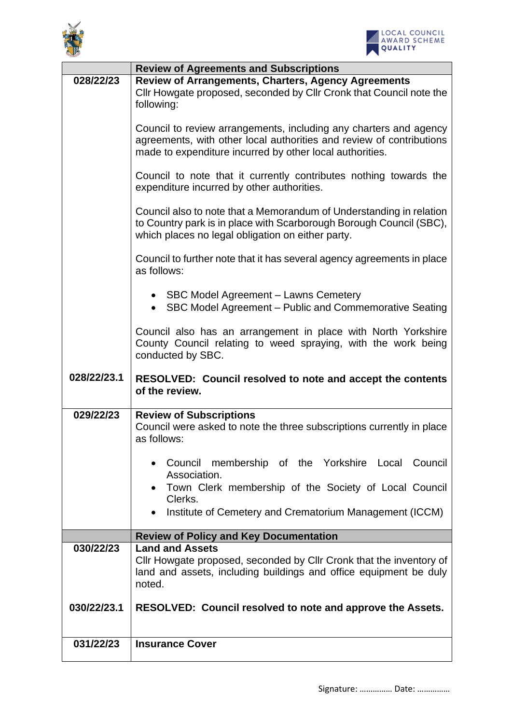



|             | <b>Review of Agreements and Subscriptions</b>                                                                                                                                                         |
|-------------|-------------------------------------------------------------------------------------------------------------------------------------------------------------------------------------------------------|
| 028/22/23   | <b>Review of Arrangements, Charters, Agency Agreements</b><br>Cllr Howgate proposed, seconded by Cllr Cronk that Council note the<br>following:                                                       |
|             | Council to review arrangements, including any charters and agency<br>agreements, with other local authorities and review of contributions<br>made to expenditure incurred by other local authorities. |
|             | Council to note that it currently contributes nothing towards the<br>expenditure incurred by other authorities.                                                                                       |
|             | Council also to note that a Memorandum of Understanding in relation<br>to Country park is in place with Scarborough Borough Council (SBC),<br>which places no legal obligation on either party.       |
|             | Council to further note that it has several agency agreements in place<br>as follows:                                                                                                                 |
|             | • SBC Model Agreement - Lawns Cemetery<br>• SBC Model Agreement – Public and Commemorative Seating                                                                                                    |
|             | Council also has an arrangement in place with North Yorkshire<br>County Council relating to weed spraying, with the work being<br>conducted by SBC.                                                   |
| 028/22/23.1 | <b>RESOLVED: Council resolved to note and accept the contents</b><br>of the review.                                                                                                                   |
| 029/22/23   | <b>Review of Subscriptions</b><br>Council were asked to note the three subscriptions currently in place<br>as follows:                                                                                |
|             | Council membership of the Yorkshire Local Council<br>Association.<br>Town Clerk membership of the Society of Local Council<br>Clerks.<br>Institute of Cemetery and Crematorium Management (ICCM)      |
|             | <b>Review of Policy and Key Documentation</b>                                                                                                                                                         |
| 030/22/23   | <b>Land and Assets</b><br>Cllr Howgate proposed, seconded by Cllr Cronk that the inventory of<br>land and assets, including buildings and office equipment be duly<br>noted.                          |
| 030/22/23.1 | RESOLVED: Council resolved to note and approve the Assets.                                                                                                                                            |
| 031/22/23   | <b>Insurance Cover</b>                                                                                                                                                                                |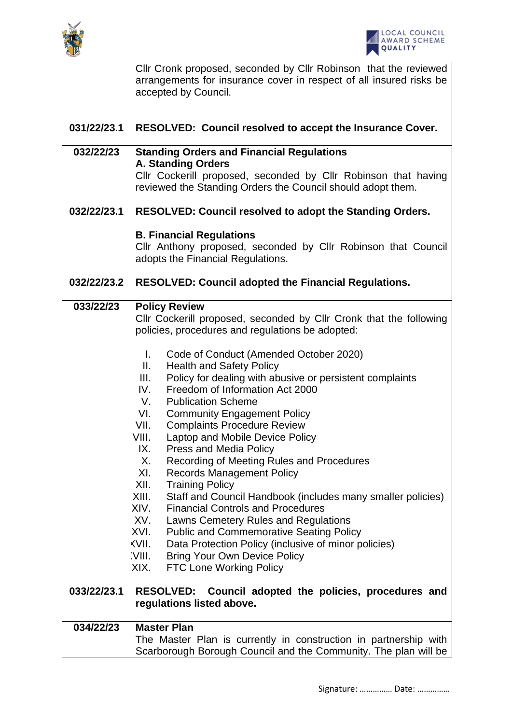



|                          | Cllr Cronk proposed, seconded by Cllr Robinson that the reviewed<br>arrangements for insurance cover in respect of all insured risks be<br>accepted by Council.                                                                                                                                                                                                                                                                                                                                                                                                                                                                                                                                                                                                                                                                                                                                                                                                                                                                                                                                                                                             |  |
|--------------------------|-------------------------------------------------------------------------------------------------------------------------------------------------------------------------------------------------------------------------------------------------------------------------------------------------------------------------------------------------------------------------------------------------------------------------------------------------------------------------------------------------------------------------------------------------------------------------------------------------------------------------------------------------------------------------------------------------------------------------------------------------------------------------------------------------------------------------------------------------------------------------------------------------------------------------------------------------------------------------------------------------------------------------------------------------------------------------------------------------------------------------------------------------------------|--|
|                          |                                                                                                                                                                                                                                                                                                                                                                                                                                                                                                                                                                                                                                                                                                                                                                                                                                                                                                                                                                                                                                                                                                                                                             |  |
| 031/22/23.1              | RESOLVED: Council resolved to accept the Insurance Cover.                                                                                                                                                                                                                                                                                                                                                                                                                                                                                                                                                                                                                                                                                                                                                                                                                                                                                                                                                                                                                                                                                                   |  |
| 032/22/23<br>032/22/23.1 | <b>Standing Orders and Financial Regulations</b><br>A. Standing Orders<br>Cllr Cockerill proposed, seconded by Cllr Robinson that having<br>reviewed the Standing Orders the Council should adopt them.                                                                                                                                                                                                                                                                                                                                                                                                                                                                                                                                                                                                                                                                                                                                                                                                                                                                                                                                                     |  |
|                          | RESOLVED: Council resolved to adopt the Standing Orders.                                                                                                                                                                                                                                                                                                                                                                                                                                                                                                                                                                                                                                                                                                                                                                                                                                                                                                                                                                                                                                                                                                    |  |
|                          | <b>B. Financial Regulations</b><br>Cllr Anthony proposed, seconded by Cllr Robinson that Council<br>adopts the Financial Regulations.                                                                                                                                                                                                                                                                                                                                                                                                                                                                                                                                                                                                                                                                                                                                                                                                                                                                                                                                                                                                                       |  |
| 032/22/23.2              | <b>RESOLVED: Council adopted the Financial Regulations.</b>                                                                                                                                                                                                                                                                                                                                                                                                                                                                                                                                                                                                                                                                                                                                                                                                                                                                                                                                                                                                                                                                                                 |  |
| 033/22/23<br>033/22/23.1 | <b>Policy Review</b><br>Cllr Cockerill proposed, seconded by Cllr Cronk that the following<br>policies, procedures and regulations be adopted:<br>L.<br>Code of Conduct (Amended October 2020)<br><b>Health and Safety Policy</b><br>Ш.<br>Policy for dealing with abusive or persistent complaints<br>III.<br>IV.<br>Freedom of Information Act 2000<br>V.<br><b>Publication Scheme</b><br>VI.<br><b>Community Engagement Policy</b><br>VII.<br><b>Complaints Procedure Review</b><br>VIII.<br>Laptop and Mobile Device Policy<br>IX.<br>Press and Media Policy<br>Recording of Meeting Rules and Procedures<br>Х.<br>XI.<br><b>Records Management Policy</b><br>XII.<br><b>Training Policy</b><br>XIII.<br>Staff and Council Handbook (includes many smaller policies)<br>XIV.<br><b>Financial Controls and Procedures</b><br>XV.<br>Lawns Cemetery Rules and Regulations<br>XVI.<br><b>Public and Commemorative Seating Policy</b><br>KVII.<br>Data Protection Policy (inclusive of minor policies)<br>:VIII.<br><b>Bring Your Own Device Policy</b><br><b>FTC Lone Working Policy</b><br>XIX.<br>RESOLVED: Council adopted the policies, procedures and |  |
|                          | regulations listed above.                                                                                                                                                                                                                                                                                                                                                                                                                                                                                                                                                                                                                                                                                                                                                                                                                                                                                                                                                                                                                                                                                                                                   |  |
| 034/22/23                | <b>Master Plan</b><br>The Master Plan is currently in construction in partnership with<br>Scarborough Borough Council and the Community. The plan will be                                                                                                                                                                                                                                                                                                                                                                                                                                                                                                                                                                                                                                                                                                                                                                                                                                                                                                                                                                                                   |  |